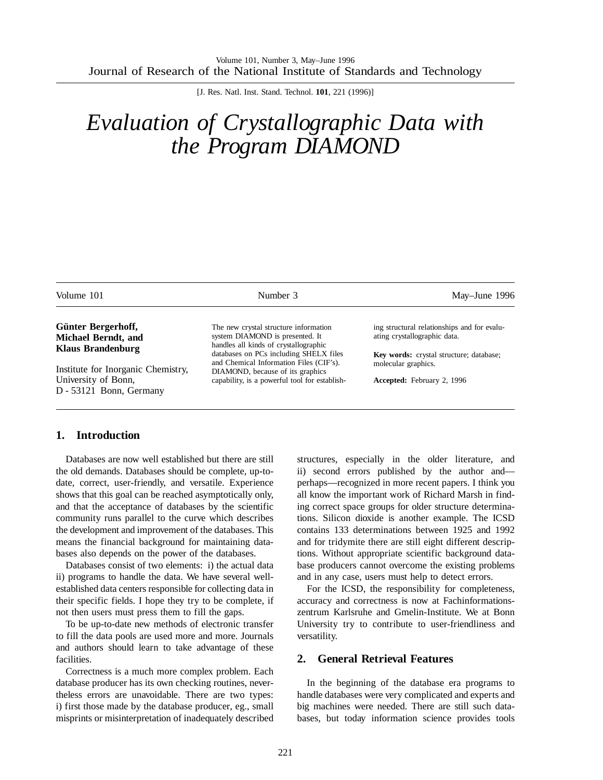[J. Res. Natl. Inst. Stand. Technol. **101**, 221 (1996)]

# *Evaluation of Crystallographic Data with the Program DIAMOND*

| May-June 1996                                                                                                                                                                                    |
|--------------------------------------------------------------------------------------------------------------------------------------------------------------------------------------------------|
| The new crystal structure information<br>ing structural relationships and for evalu-<br>ating crystallographic data.<br>system DIAMOND is presented. It<br>handles all kinds of crystallographic |
| databases on PCs including SHELX files<br>Key words: crystal structure; database;<br>and Chemical Information Files (CIF's).<br>molecular graphics.<br>DIAMOND, because of its graphics          |
| capability, is a powerful tool for establish-<br><b>Accepted:</b> February 2, 1996                                                                                                               |
|                                                                                                                                                                                                  |

### **1. Introduction**

Databases are now well established but there are still the old demands. Databases should be complete, up-todate, correct, user-friendly, and versatile. Experience shows that this goal can be reached asymptotically only, and that the acceptance of databases by the scientific community runs parallel to the curve which describes the development and improvement of the databases. This means the financial background for maintaining databases also depends on the power of the databases.

Databases consist of two elements: i) the actual data ii) programs to handle the data. We have several wellestablished data centers responsible for collecting data in their specific fields. I hope they try to be complete, if not then users must press them to fill the gaps.

To be up-to-date new methods of electronic transfer to fill the data pools are used more and more. Journals and authors should learn to take advantage of these facilities.

Correctness is a much more complex problem. Each database producer has its own checking routines, nevertheless errors are unavoidable. There are two types: i) first those made by the database producer, eg., small misprints or misinterpretation of inadequately described

structures, especially in the older literature, and ii) second errors published by the author and perhaps—recognized in more recent papers. I think you all know the important work of Richard Marsh in finding correct space groups for older structure determinations. Silicon dioxide is another example. The ICSD contains 133 determinations between 1925 and 1992 and for tridymite there are still eight different descriptions. Without appropriate scientific background database producers cannot overcome the existing problems and in any case, users must help to detect errors.

For the ICSD, the responsibility for completeness, accuracy and correctness is now at Fachinformationszentrum Karlsruhe and Gmelin-Institute. We at Bonn University try to contribute to user-friendliness and versatility.

#### **2. General Retrieval Features**

In the beginning of the database era programs to handle databases were very complicated and experts and big machines were needed. There are still such databases, but today information science provides tools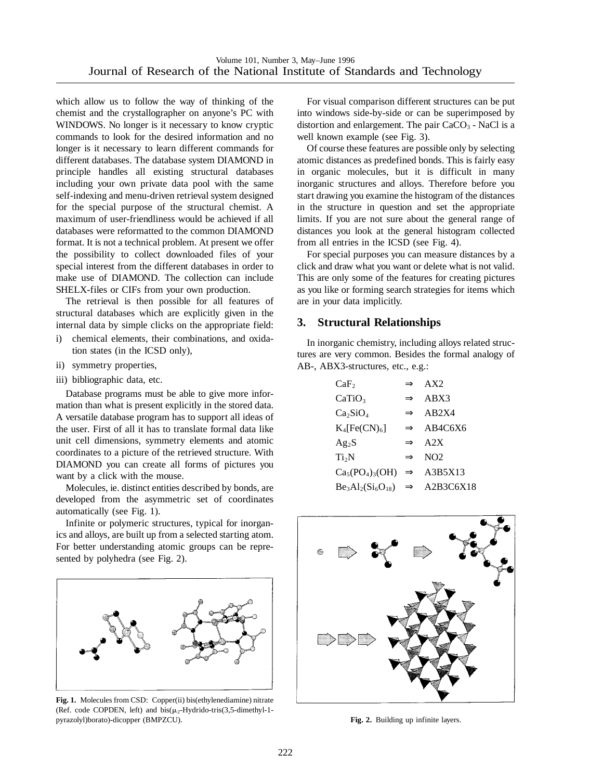which allow us to follow the way of thinking of the chemist and the crystallographer on anyone's PC with WINDOWS. No longer is it necessary to know cryptic commands to look for the desired information and no longer is it necessary to learn different commands for different databases. The database system DIAMOND in principle handles all existing structural databases including your own private data pool with the same self-indexing and menu-driven retrieval system designed for the special purpose of the structural chemist. A maximum of user-friendliness would be achieved if all databases were reformatted to the common DIAMOND format. It is not a technical problem. At present we offer the possibility to collect downloaded files of your special interest from the different databases in order to make use of DIAMOND. The collection can include SHELX-files or CIFs from your own production.

The retrieval is then possible for all features of structural databases which are explicitly given in the internal data by simple clicks on the appropriate field:

- i) chemical elements, their combinations, and oxidation states (in the ICSD only),
- ii) symmetry properties,
- iii) bibliographic data, etc.

Database programs must be able to give more information than what is present explicitly in the stored data. A versatile database program has to support all ideas of the user. First of all it has to translate formal data like unit cell dimensions, symmetry elements and atomic coordinates to a picture of the retrieved structure. With DIAMOND you can create all forms of pictures you want by a click with the mouse.

Molecules, ie. distinct entities described by bonds, are developed from the asymmetric set of coordinates automatically (see Fig. 1).

Infinite or polymeric structures, typical for inorganics and alloys, are built up from a selected starting atom. For better understanding atomic groups can be represented by polyhedra (see Fig. 2).



**Fig. 1.** Molecules from CSD: Copper(ii) bis(ethylenediamine) nitrate (Ref. code COPDEN, left) and bis( $\mu_2$ -Hydrido-tris(3,5-dimethyl-1pyrazolyl)borato)-dicopper (BMPZCU). **Fig. 2.** Building up infinite layers.

For visual comparison different structures can be put into windows side-by-side or can be superimposed by distortion and enlargement. The pair  $CaCO<sub>3</sub>$  - NaCl is a well known example (see Fig. 3).

Of course these features are possible only by selecting atomic distances as predefined bonds. This is fairly easy in organic molecules, but it is difficult in many inorganic structures and alloys. Therefore before you start drawing you examine the histogram of the distances in the structure in question and set the appropriate limits. If you are not sure about the general range of distances you look at the general histogram collected from all entries in the ICSD (see Fig. 4).

For special purposes you can measure distances by a click and draw what you want or delete what is not valid. This are only some of the features for creating pictures as you like or forming search strategies for items which are in your data implicitly.

# **3. Structural Relationships**

In inorganic chemistry, including alloys related structures are very common. Besides the formal analogy of AB-, ABX3-structures, etc., e.g.:

| CaF <sub>2</sub>                             |               | $\Rightarrow$ AX2     |
|----------------------------------------------|---------------|-----------------------|
| CaTiO <sub>3</sub>                           | $\Rightarrow$ | ABX3                  |
| Ca <sub>2</sub> SiO <sub>4</sub>             |               | $\Rightarrow$ AB2X4   |
| $K_4[Fe(CN)_6]$                              |               | $\Rightarrow$ AB4C6X6 |
| Ag <sub>2</sub> S                            |               | $\Rightarrow$ A2X     |
| Ti <sub>2</sub> N                            |               | $\Rightarrow$ NO2     |
| $Ca_5(PO_4)_3(OH) \Rightarrow A3B5X13$       |               |                       |
| $Be_3Al_2(Si_6O_{18}) \Rightarrow A2B3C6X18$ |               |                       |
|                                              |               |                       |

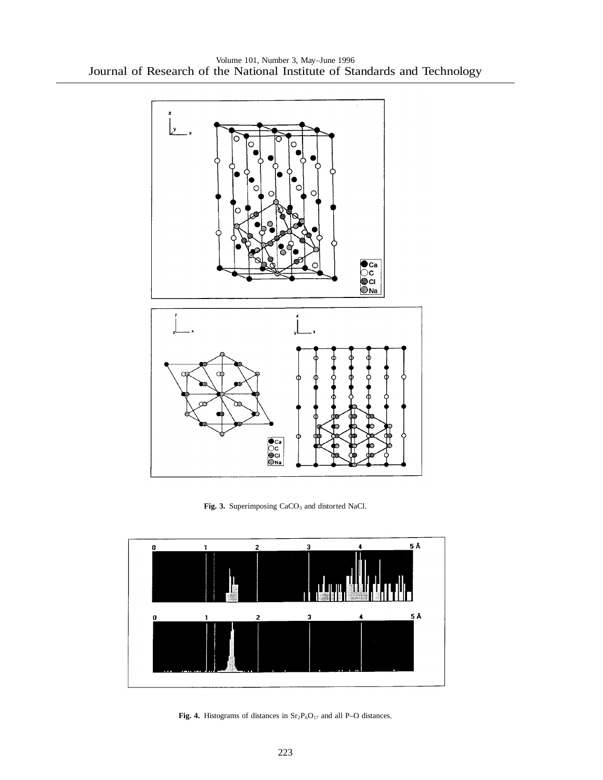

Fig. 3. Superimposing CaCO<sub>3</sub> and distorted NaCl.



Fig. 4. Histograms of distances in  $Sr_2P_6O_{17}$  and all P–O distances.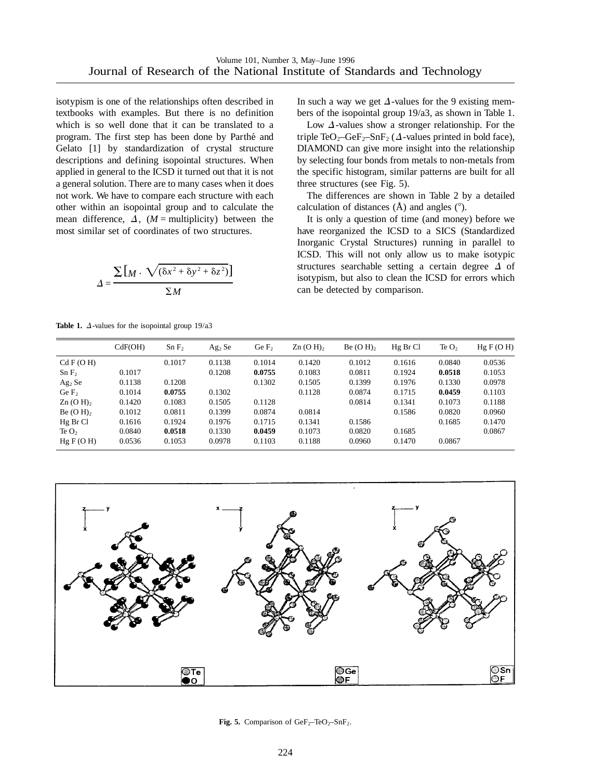isotypism is one of the relationships often described in textbooks with examples. But there is no definition which is so well done that it can be translated to a program. The first step has been done by Parthe´ and Gelato [1] by standardization of crystal structure descriptions and defining isopointal structures. When applied in general to the ICSD it turned out that it is not a general solution. There are to many cases when it does not work. We have to compare each structure with each other within an isopointal group and to calculate the mean difference,  $\Delta$ , (*M* = multiplicity) between the most similar set of coordinates of two structures.

$$
\Delta = \frac{\sum [M \cdot \sqrt{(\delta x^2 + \delta y^2 + \delta z^2)}]}{\sum M}
$$

**Table 1.**  $\Delta$ -values for the isopointal group 19/a3

In such a way we get  $\Delta$ -values for the 9 existing members of the isopointal group 19/a3, as shown in Table 1.

Low  $\Delta$ -values show a stronger relationship. For the triple TeO<sub>2</sub>–GeF<sub>2</sub>–SnF<sub>2</sub> ( $\Delta$ -values printed in bold face), DIAMOND can give more insight into the relationship by selecting four bonds from metals to non-metals from the specific histogram, similar patterns are built for all three structures (see Fig. 5).

The differences are shown in Table 2 by a detailed calculation of distances  $(\hat{A})$  and angles  $(°)$ .

It is only a question of time (and money) before we have reorganized the ICSD to a SICS (Standardized Inorganic Crystal Structures) running in parallel to ICSD. This will not only allow us to make isotypic structures searchable setting a certain degree  $\Delta$  of isotypism, but also to clean the ICSD for errors which can be detected by comparison.

|                                | CdF(OH) | SnF <sub>2</sub> | Ag <sub>2</sub> Se | Ge F <sub>2</sub> | $Zn$ (O H), | $Be(OH)$ , | Hg Br Cl | Te $O2$ | HgF(OH) |
|--------------------------------|---------|------------------|--------------------|-------------------|-------------|------------|----------|---------|---------|
| Cd F(OH)                       |         | 0.1017           | 0.1138             | 0.1014            | 0.1420      | 0.1012     | 0.1616   | 0.0840  | 0.0536  |
| SnF <sub>2</sub>               | 0.1017  |                  | 0.1208             | 0.0755            | 0.1083      | 0.0811     | 0.1924   | 0.0518  | 0.1053  |
| Ag <sub>2</sub> Se             | 0.1138  | 0.1208           |                    | 0.1302            | 0.1505      | 0.1399     | 0.1976   | 0.1330  | 0.0978  |
| Ge $F2$                        | 0.1014  | 0.0755           | 0.1302             |                   | 0.1128      | 0.0874     | 0.1715   | 0.0459  | 0.1103  |
| $\text{Zn}$ (O H) <sub>2</sub> | 0.1420  | 0.1083           | 0.1505             | 0.1128            |             | 0.0814     | 0.1341   | 0.1073  | 0.1188  |
| Be $(O H)$                     | 0.1012  | 0.0811           | 0.1399             | 0.0874            | 0.0814      |            | 0.1586   | 0.0820  | 0.0960  |
| Hg Br Cl                       | 0.1616  | 0.1924           | 0.1976             | 0.1715            | 0.1341      | 0.1586     |          | 0.1685  | 0.1470  |
| Te $O2$                        | 0.0840  | 0.0518           | 0.1330             | 0.0459            | 0.1073      | 0.0820     | 0.1685   |         | 0.0867  |
| Hg F(O H)                      | 0.0536  | 0.1053           | 0.0978             | 0.1103            | 0.1188      | 0.0960     | 0.1470   | 0.0867  |         |



**Fig. 5.** Comparison of  $GeF_2-TeO_2-SnF_2$ .